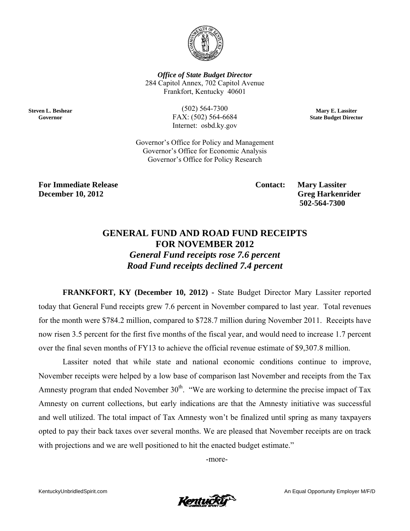

**Office of State Budget Director** 284 Capitol Annex, 702 Capitol Avenue Frankfort, Kentucky 40601

**Steven L. Beshear** Governor

 $(502) 564 - 7300$ FAX: (502) 564-6684 Internet: osbd.ky.gov

Mary E. Lassiter **State Budget Director** 

Governor's Office for Policy and Management Governor's Office for Economic Analysis Governor's Office for Policy Research

**For Immediate Release December 10, 2012** 

**Contact:** 

**Mary Lassiter Greg Harkenrider** 502-564-7300

## **GENERAL FUND AND ROAD FUND RECEIPTS FOR NOVEMBER 2012**

**General Fund receipts rose 7.6 percent** Road Fund receipts declined 7.4 percent

FRANKFORT, KY (December 10, 2012) - State Budget Director Mary Lassiter reported today that General Fund receipts grew 7.6 percent in November compared to last year. Total revenues for the month were \$784.2 million, compared to \$728.7 million during November 2011. Receipts have now risen 3.5 percent for the first five months of the fiscal year, and would need to increase 1.7 percent over the final seven months of FY13 to achieve the official revenue estimate of \$9,307.8 million.

Lassiter noted that while state and national economic conditions continue to improve, November receipts were helped by a low base of comparison last November and receipts from the Tax Amnesty program that ended November  $30<sup>th</sup>$ . "We are working to determine the precise impact of Tax Amnesty on current collections, but early indications are that the Amnesty initiative was successful and well utilized. The total impact of Tax Amnesty won't be finalized until spring as many taxpayers opted to pay their back taxes over several months. We are pleased that November receipts are on track with projections and we are well positioned to hit the enacted budget estimate."

-more-

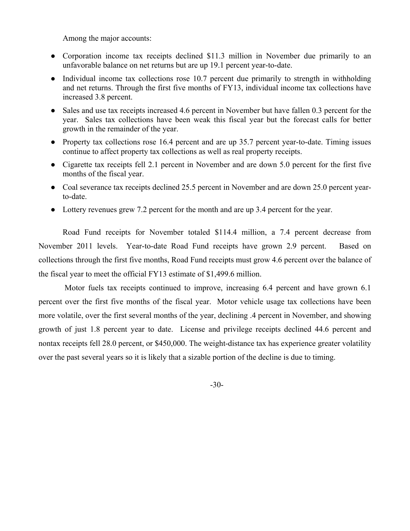Among the major accounts:

- Corporation income tax receipts declined \$11.3 million in November due primarily to an unfavorable balance on net returns but are up 19.1 percent year-to-date.
- Individual income tax collections rose 10.7 percent due primarily to strength in withholding and net returns. Through the first five months of FY13, individual income tax collections have increased 3.8 percent.
- Sales and use tax receipts increased 4.6 percent in November but have fallen 0.3 percent for the year. Sales tax collections have been weak this fiscal year but the forecast calls for better growth in the remainder of the year.
- Property tax collections rose 16.4 percent and are up 35.7 percent year-to-date. Timing issues continue to affect property tax collections as well as real property receipts.
- Cigarette tax receipts fell 2.1 percent in November and are down 5.0 percent for the first five months of the fiscal year.
- Coal severance tax receipts declined 25.5 percent in November and are down 25.0 percent yearto-date.
- Lottery revenues grew 7.2 percent for the month and are up 3.4 percent for the year.

Road Fund receipts for November totaled \$114.4 million, a 7.4 percent decrease from November 2011 levels. Year-to-date Road Fund receipts have grown 2.9 percent. Based on collections through the first five months, Road Fund receipts must grow 4.6 percent over the balance of the fiscal year to meet the official FY13 estimate of \$1,499.6 million.

 Motor fuels tax receipts continued to improve, increasing 6.4 percent and have grown 6.1 percent over the first five months of the fiscal year. Motor vehicle usage tax collections have been more volatile, over the first several months of the year, declining .4 percent in November, and showing growth of just 1.8 percent year to date. License and privilege receipts declined 44.6 percent and nontax receipts fell 28.0 percent, or \$450,000. The weight-distance tax has experience greater volatility over the past several years so it is likely that a sizable portion of the decline is due to timing.

-30-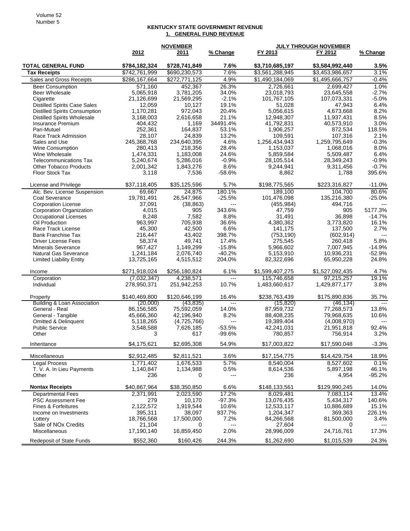## **KENTUCKY STATE GOVERNMENT REVENUE 1. GENERAL FUND REVENUE**

|                                                    | <b>NOVEMBER</b>      |                  | <b>JULY THROUGH NOVEMBER</b> |                       |                       |               |
|----------------------------------------------------|----------------------|------------------|------------------------------|-----------------------|-----------------------|---------------|
|                                                    | 2012                 | 2011             | % Change                     | FY 2013               | FY 2012               | % Change      |
| <b>TOTAL GENERAL FUND</b>                          | \$784,182,324        | \$728,741,849    | 7.6%                         | \$3,710,685,197       | \$3,584,992,440       | $3.5\%$       |
| <b>Tax Receipts</b>                                | \$742,761,999        | \$690,230,573    | 7.6%                         | \$3,561,288,945       | \$3,453,986,657       | 3.1%          |
| Sales and Gross Receipts                           | \$286,167,664        | \$272,771,125    | 4.9%                         | \$1,490,184,069       | \$1,495,666,757       | $-0.4%$       |
| <b>Beer Consumption</b>                            | 571,160              | 452,367          | 26.3%                        | 2,726,661             | 2,699,427             | 1.0%          |
| <b>Beer Wholesale</b>                              | 5,065,918            | 3,781,205        | 34.0%                        | 23,018,793            | 23,645,558            | $-2.7%$       |
| Cigarette                                          | 21,126,699           | 21,569,295       | $-2.1%$                      | 101,767,105           | 107,073,331           | $-5.0%$       |
| <b>Distilled Spirits Case Sales</b>                | 12,059               | 10,127           | 19.1%                        | 51,028                | 47,943                | 6.4%          |
| <b>Distilled Spirits Consumption</b>               | 1,170,281            | 972,043          | 20.4%                        | 5,056,615             | 4,673,668             | 8.2%          |
| <b>Distilled Spirits Wholesale</b>                 | 3,168,003            | 2,616,658        | 21.1%                        | 12,948,307            | 11,937,431            | 8.5%          |
| Insurance Premium                                  | 404,432              | 1,169            | 34491.4%                     | 41,792,831            | 40,573,910            | 3.0%          |
| Pari-Mutuel                                        | 252.361              | 164.837          | 53.1%                        | 1,906,257             | 872.534               | 118.5%        |
| Race Track Admission                               | 28,107               | 24,839           | 13.2%                        | 109,591               | 107,316               | 2.1%          |
| Sales and Use                                      | 245,368,768          | 234,640,395      | 4.6%                         | 1,256,434,943         | 1,259,795,649         | $-0.3%$       |
| <b>Wine Consumption</b>                            | 280,413              | 218,356          | 28.4%                        | 1,153,037             | 1,068,016             | 8.0%          |
| Wine Wholesale                                     | 1,474,331            | 1,183,008        | 24.6%                        | 5,859,584             | 5,509,487             | 6.4%          |
| <b>Telecommunications Tax</b>                      | 5,240,674            | 5,286,016        | $-0.9%$                      | 28,105,514            | 28,349,243            | $-0.9%$       |
| <b>Other Tobacco Products</b>                      | 2,001,342            | 1,843,276        | 8.6%                         | 9,244,941             | 9,311,456             | $-0.7%$       |
| Floor Stock Tax                                    | 3,118                | 7,536            | $-58.6%$                     | 8,862                 | 1,788                 | 395.6%        |
| License and Privilege                              | \$37,118,405         | \$35,125,596     | 5.7%                         | \$198,775,565         | \$223,316,827         | $-11.0%$      |
| Alc. Bev. License Suspension                       | 69,667               | 24,875           | 180.1%                       | 189,100               | 104,700               | 80.6%         |
| Coal Severance                                     | 19,781,491           | 26,547,966       | $-25.5%$                     | 101,476,098           | 135,216,380           | $-25.0%$      |
| <b>Corporation License</b>                         | 37,091               | (38, 863)        | $---$                        | (455, 984)            | 494,716               |               |
| Corporation Organization                           | 4,015                | 905              | 343.6%                       | 47,759                | 905                   | 5177.3%       |
| Occupational Licenses                              | 8,248                | 7,582            | 8.8%                         | 31,491                | 36,898                | $-14.7%$      |
| Oil Production                                     | 963,997              | 705,938          | 36.6%                        | 4,380,362             | 3,773,820             | 16.1%         |
| Race Track License<br><b>Bank Franchise Tax</b>    | 45,300<br>216,447    | 42,500<br>43,402 | 6.6%<br>398.7%               | 141,175<br>(753, 190) | 137,500<br>(602, 914) | 2.7%<br>$---$ |
| <b>Driver License Fees</b>                         | 58,374               | 49,741           | 17.4%                        | 275,545               | 260,418               | 5.8%          |
| <b>Minerals Severance</b>                          | 967,427              | 1,149,299        | $-15.8%$                     | 5,966,602             | 7,007,945             | $-14.9%$      |
| <b>Natural Gas Severance</b>                       | 1,241,184            | 2,076,740        | $-40.2%$                     | 5,153,910             | 10,936,231            | $-52.9%$      |
| <b>Limited Liability Entity</b>                    | 13,725,165           | 4,515,512        | 204.0%                       | 82,322,696            | 65,950,228            | 24.8%         |
| Income                                             | \$271,918,024        | \$256,180,824    | 6.1%                         | \$1,599,407,275       | \$1,527,092,435       | 4.7%          |
| Corporation                                        | (7,032,347)          | 4,238,571        | $---$                        | 115,746,658           | 97,215,257            | 19.1%         |
| Individual                                         | 278,950,371          | 251,942,253      | 10.7%                        | 1,483,660,617         | 1,429,877,177         | 3.8%          |
|                                                    | \$140,469,800        | \$120,646,199    | 16.4%                        | \$238,763,439         | \$175,890,836         | 35.7%         |
| Property<br><b>Building &amp; Loan Association</b> | (20.000)             | (43, 835)        | $\overline{a}$               | (15, 820)             | (46, 134)             |               |
| General - Real                                     | 86,156,585           | 75,592,059       | 14.0%                        | 87,959,732            | 77,268,573            | 13.8%         |
| General - Tangible                                 | 45,666,360           | 42,196,940       | 8.2%                         | 88,408,235            | 79,968,635            | 10.6%         |
| Omitted & Delinquent                               | 5,118,265            | (4,725,766)      | $\scriptstyle \cdots$        | 19,389,404            | (4,008,970)           | $---$         |
| <b>Public Service</b>                              | 3,548,588            | 7,626,185        | $-53.5%$                     | 42,241,031            | 21,951,818            | 92.4%         |
| Other                                              | 3                    | 617              | $-99.6%$                     | 780,857               | 756,914               | 3.2%          |
| Inheritance                                        | \$4,175,621          | \$2,695,308      | 54.9%                        | \$17,003,822          | \$17,590,048          | 3.3%          |
| Miscellaneous                                      | \$2,912,485          | \$2,811,521      | 3.6%                         | \$17,154,775          | \$14,429,754          | 18.9%         |
| <b>Legal Process</b>                               | 1,771,402            | 1,676,533        | 5.7%                         | 8,540,004             | 8,527,602             | 0.1%          |
| T. V. A. In Lieu Payments                          | 1,140,847            | 1,134,988        | 0.5%                         | 8,614,536             | 5,897,198             | 46.1%         |
| Other                                              | 236                  | 0                | ---                          | 236                   | 4,954                 | $-95.2%$      |
| <b>Nontax Receipts</b>                             | \$40,867,964         | \$38,350,850     | 6.6%                         | \$148,133,561         | \$129,990,245         | 14.0%         |
| <b>Departmental Fees</b>                           | 2,371,991            | 2,023,590        | 17.2%                        | 8,029,481             | 7,083,114             | 13.4%         |
| <b>PSC Assessment Fee</b>                          | 279                  | 10,170           | $-97.3%$                     | 13,076,435            | 5,434,317             | 140.6%        |
| Fines & Forfeitures                                | 2,122,572            | 1,919,544        | 10.6%                        | 12,533,117            | 10,886,689            | 15.1%         |
| Income on Investments                              | 395,311              | 38,097           | 937.7%                       | 1,204,347             | 369,363               | 226.1%        |
| Lottery                                            | 18,766,568           | 17,500,000       | 7.2%                         | 84,266,568            | 81,500,000            | 3.4%          |
| Sale of NO <sub>x</sub> Credits<br>Miscellaneous   | 21,104<br>17,190,140 | 0<br>16,859,450  | ---<br>2.0%                  | 27,604<br>28,996,009  | 0<br>24,716,761       | 17.3%         |
| <b>Redeposit of State Funds</b>                    | \$552,360            | \$160,426        | 244.3%                       | \$1,262,690           | \$1,015,539           | 24.3%         |